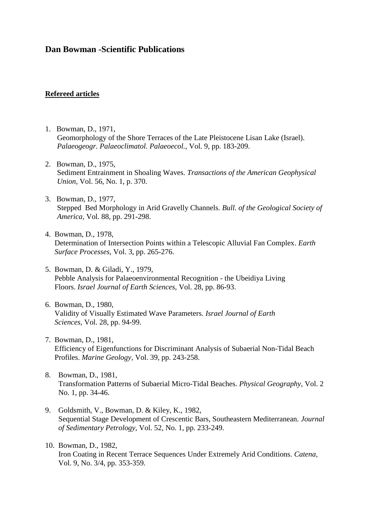# **Dan Bowman -Scientific Publications**

### **Refereed articles**

- 1. Bowman, D., 1971, Geomorphology of the Shore Terraces of the Late Pleistocene Lisan Lake (Israel). *Palaeogeogr. Palaeoclimatol. Palaeoecol.,* Vol. 9, pp. 183-209.
- 2. Bowman, D., 1975, Sediment Entrainment in Shoaling Waves. *Transactions of the American Geophysical Union,* Vol. 56, No. 1, p. 370.
- 3. Bowman, D., 1977, Stepped Bed Morphology in Arid Gravelly Channels. *Bull. of the Geological Society of America,* Vol. 88, pp. 291-298.
- 4. Bowman, D., 1978, Determination of Intersection Points within a Telescopic Alluvial Fan Complex. *Earth Surface Processes,* Vol. 3, pp. 265-276.
- 5. Bowman, D. & Giladi, Y., 1979, Pebble Analysis for Palaeoenvironmental Recognition - the Ubeidiya Living Floors. *Israel Journal of Earth Sciences,* Vol. 28, pp. 86-93.
- 6. Bowman, D., 1980, Validity of Visually Estimated Wave Parameters. *Israel Journal of Earth Sciences,* Vol. 28, pp. 94-99.
- 7. Bowman, D., 1981, Efficiency of Eigenfunctions for Discriminant Analysis of Subaerial Non-Tidal Beach Profiles. *Marine Geology,* Vol. 39, pp. 243-258.
- 8. Bowman, D., 1981, Transformation Patterns of Subaerial Micro-Tidal Beaches. *Physical Geography,* Vol. 2 No. 1, pp. 34-46.
- 9. Goldsmith, V., Bowman, D. & Kiley, K., 1982, Sequential Stage Development of Crescentic Bars, Southeastern Mediterranean. *Journal of Sedimentary Petrology,* Vol. 52, No. 1, pp. 233-249.
- 10. Bowman, D., 1982, Iron Coating in Recent Terrace Sequences Under Extremely Arid Conditions. *Catena,* Vol. 9, No. 3/4, pp. 353-359.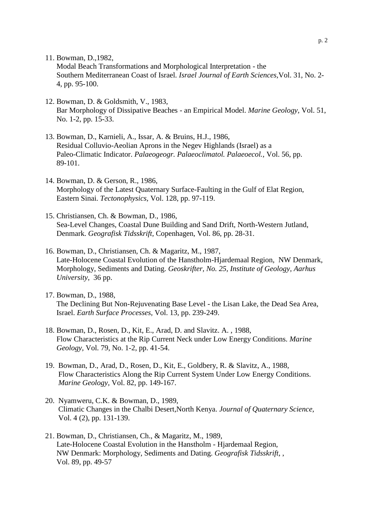11. Bowman, D.,1982,

Modal Beach Transformations and Morphological Interpretation - the Southern Mediterranean Coast of Israel. *Israel Journal of Earth Sciences,*Vol. 31, No. 2- 4, pp. 95-100.

- 12. Bowman, D. & Goldsmith, V., 1983, Bar Morphology of Dissipative Beaches - an Empirical Model. *Marine Geology,* Vol. 51, No. 1-2, pp. 15-33.
- 13. Bowman, D., Karnieli, A., Issar, A. & Bruins, H.J., 1986, Residual Colluvio-Aeolian Aprons in the Negev Highlands (Israel) as a Paleo-Climatic Indicator. *Palaeogeogr. Palaeoclimatol. Palaeoecol.,* Vol. 56, pp. 89-101.
- 14. Bowman, D. & Gerson, R., 1986, Morphology of the Latest Quaternary Surface-Faulting in the Gulf of Elat Region, Eastern Sinai. *Tectonophysics,* Vol. 128, pp. 97-119.
- 15. Christiansen, Ch. & Bowman, D., 1986, Sea-Level Changes, Coastal Dune Building and Sand Drift, North-Western Jutland, Denmark. *Geografisk Tidsskrift,* Copenhagen, Vol. 86, pp. 28-31.
- 16. Bowman, D., Christiansen, Ch. & Magaritz, M., 1987, Late-Holocene Coastal Evolution of the Hanstholm-Hjardemaal Region, NW Denmark, Morphology, Sediments and Dating. *Geoskrifter, No. 25, Institute of Geology, Aarhus University,* 36 pp.
- 17. Bowman, D., 1988, The Declining But Non-Rejuvenating Base Level - the Lisan Lake, the Dead Sea Area, Israel. *Earth Surface Processes,* Vol. 13, pp. 239-249.
- 18. Bowman, D., Rosen, D., Kit, E., Arad, D. and Slavitz. A. , 1988, Flow Characteristics at the Rip Current Neck under Low Energy Conditions. *Marine Geology,* Vol. 79, No. 1-2, pp. 41-54.
- 19. Bowman, D., Arad, D., Rosen, D., Kit, E., Goldbery, R. & Slavitz, A., 1988, Flow Characteristics Along the Rip Current System Under Low Energy Conditions.  *Marine Geology,* Vol. 82, pp. 149-167.
- 20. Nyamweru, C.K. & Bowman, D., 1989, Climatic Changes in the Chalbi Desert,North Kenya. *Journal of Quaternary Science,*  Vol. 4 (2), pp. 131-139.
- 21. Bowman, D., Christiansen, Ch., & Magaritz, M., 1989, Late-Holocene Coastal Evolution in the Hanstholm - Hjardemaal Region, NW Denmark: Morphology, Sediments and Dating. *Geografisk Tidsskrift*, , Vol. 89, pp. 49-57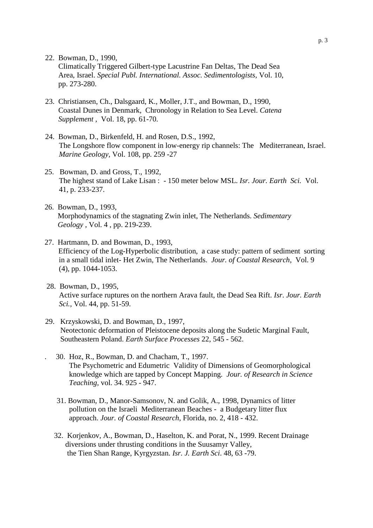22. Bowman, D., 1990,

 Climatically Triggered Gilbert-type Lacustrine Fan Deltas, The Dead Sea Area, Israel. *Special Publ. International. Assoc. Sedimentologists,* Vol. 10, pp. 273-280.

- 23. Christiansen, Ch., Dalsgaard, K., Moller, J.T., and Bowman, D., 1990, Coastal Dunes in Denmark, Chronology in Relation to Sea Level. *Catena Supplement ,* Vol. 18, pp. 61-70.
- 24. Bowman, D., Birkenfeld, H. and Rosen, D.S., 1992, The Longshore flow component in low-energy rip channels: The Mediterranean, Israel. *Marine Geology,* Vol. 108, pp. 259 -27
- 25. Bowman, D. and Gross, T., 1992, The highest stand of Lake Lisan : - 150 meter below MSL. *Isr. Jour. Earth Sci.* Vol. 41, p. 233-237.
- 26. Bowman, D., 1993, Morphodynamics of the stagnating Zwin inlet, The Netherlands. *Sedimentary Geology ,* Vol. 4 , pp. 219-239.
- 27. Hartmann, D. and Bowman, D., 1993, Efficiency of the Log-Hyperbolic distribution, a case study: pattern of sediment sorting in a small tidal inlet- Het Zwin, The Netherlands. *Jour. of Coastal Research*, Vol. 9 (4), pp. 1044-1053.
- 28. Bowman, D., 1995, Active surface ruptures on the northern Arava fault, the Dead Sea Rift. *Isr*. *Jour. Earth Sci.,* Vol. 44, pp. 51-59.
- 29. Krzyskowski, D. and Bowman, D., 1997, Neotectonic deformation of Pleistocene deposits along the Sudetic Marginal Fault, Southeastern Poland. *Earth Surface Processes* 22, 545 - 562.
	- . 30. Hoz, R., Bowman, D. and Chacham, T., 1997. The Psychometric and Edumetric Validity of Dimensions of Geomorphological knowledge which are tapped by Concept Mapping. *Jour. of Research in Science Teaching,* vol. 34. 925 - 947.
		- 31. Bowman, D., Manor-Samsonov, N. and Golik, A., 1998, Dynamics of litter pollution on the Israeli Mediterranean Beaches - a Budgetary litter flux approach. *Jour. of Coastal Research,* Florida, no. 2, 418 - 432.
	- 32. Korjenkov, A., Bowman, D., Haselton, K. and Porat, N., 1999. Recent Drainage diversions under thrusting conditions in the Suusamyr Valley, the Tien Shan Range, Kyrgyzstan. *Isr. J. Earth Sci*. 48, 63 -79.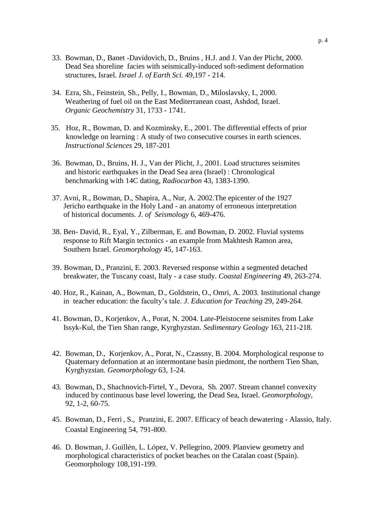- 33. Bowman, D., Banet -Davidovich, D., Bruins , H.J. and J. Van der Plicht, 2000. Dead Sea shoreline facies with seismically-induced soft-sediment deformation structures, Israel. *Israel J. of Earth Sci.* 49,197 - 214.
- 34. Ezra, Sh., Feinstein, Sh., Pelly, I., Bowman, D., Miloslavsky, I., 2000. Weathering of fuel oil on the East Mediterranean coast, Ashdod, Israel.  *Organic Geochemistry* 31, 1733 - 1741.
- 35. Hoz, R., Bowman, D. and Kozminsky, E., 2001. The differential effects of prior knowledge on learning : A study of two consecutive courses in earth sciences. *Instructional Sciences* 29, 187-201
- 36. Bowman, D., Bruins, H. J., Van der Plicht, J., 2001. Load structures seismites and historic earthquakes in the Dead Sea area (Israel) : Chronological benchmarking with 14C dating*, Radiocarbon* 43, 1383-1390.
- 37. Avni, R., Bowman, D., Shapira, A., Nur, A. 2002.The epicenter of the 1927 Jericho earthquake in the Holy Land - an anatomy of erroneous interpretation of historical documents*. J. of Seismology* 6, 469-476.
- 38. Ben- David, R., Eyal, Y., Zilberman, E. and Bowman, D. 2002. Fluvial systems response to Rift Margin tectonics - an example from Makhtesh Ramon area, Southern Israel. *Geomorphology* 45, 147-163.
- 39. Bowman, D., Pranzini, E. 2003. Reversed response within a segmented detached breakwater, the Tuscany coast, Italy - a case study. *Coastal Engineering* 49, 263-274.
- 40. Hoz, R., Kainan, A., Bowman, D., Goldstein, O., Omri, A. 2003. Institutional change in teacher education: the faculty's tale. *J. Education for Teaching* 29, 249-264.
- 41. Bowman, D., Korjenkov, A., Porat, N. 2004. Late-Pleistocene seismites from Lake Issyk-Kul, the Tien Shan range, Kyrghyzstan. *Sedimentary Geology* 163, 211-218.
- 42. Bowman, D., Korjenkov, A., Porat, N., Czassny, B. 2004. Morphological response to Quaternary deformation at an intermontane basin piedmont, the northern Tien Shan, Kyrghyzstan. *Geomorphology* 63, 1-24.
- 43. Bowman, D., Shachnovich-Firtel, Y., Devora, Sh. 2007. Stream channel convexity induced by continuous base level lowering, the Dead Sea, Israel. *Geomorphology,*  92, 1-2, 60-75.
- 45. Bowman, D., Ferri , S., Pranzini, E. 2007. Efficacy of beach dewatering Alassio, Italy. Coastal Engineering 54, 791-800.
- 46. D. Bowman, J. Guillén, L. López, V. Pellegrino, 2009. Planview geometry and morphological characteristics of pocket beaches on the Catalan coast (Spain). Geomorphology 108,191-199.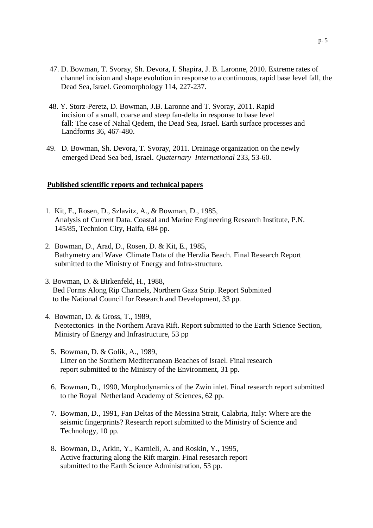- 47. D. Bowman, T. Svoray, Sh. Devora, I. Shapira, J. B. Laronne, 2010. Extreme rates of channel incision and shape evolution in response to a continuous, rapid base level fall, the Dead Sea, Israel. Geomorphology 114, 227-237.
- 48. Y. Storz-Peretz, D. Bowman, J.B. Laronne and T. Svoray, 2011. Rapid incision of a small, coarse and steep fan-delta in response to base level fall: The case of Nahal Qedem, the Dead Sea, Israel. Earth surface processes and Landforms 36, 467-480.
- 49. D. Bowman, Sh. Devora, T. Svoray, 2011. Drainage organization on the newly emerged Dead Sea bed, Israel. *Quaternary International* 233, 53-60.

#### **Published scientific reports and technical papers**

- 1. Kit, E., Rosen, D., Szlavitz, A., & Bowman, D., 1985, Analysis of Current Data. Coastal and Marine Engineering Research Institute, P.N. 145/85, Technion City, Haifa, 684 pp.
- 2. Bowman, D., Arad, D., Rosen, D. & Kit, E., 1985, Bathymetry and Wave Climate Data of the Herzlia Beach. Final Research Report submitted to the Ministry of Energy and Infra-structure.
- 3. Bowman, D. & Birkenfeld, H., 1988, Bed Forms Along Rip Channels, Northern Gaza Strip. Report Submitted to the National Council for Research and Development, 33 pp.
- 4. Bowman, D. & Gross, T., 1989, Neotectonics in the Northern Arava Rift. Report submitted to the Earth Science Section, Ministry of Energy and Infrastructure, 53 pp
	- 5. Bowman, D. & Golik, A., 1989, Litter on the Southern Mediterranean Beaches of Israel. Final research report submitted to the Ministry of the Environment, 31 pp.
	- 6. Bowman, D., 1990, Morphodynamics of the Zwin inlet. Final research report submitted to the Royal Netherland Academy of Sciences, 62 pp.
	- 7. Bowman, D., 1991, Fan Deltas of the Messina Strait, Calabria, Italy: Where are the seismic fingerprints? Research report submitted to the Ministry of Science and Technology, 10 pp.
	- 8. Bowman, D., Arkin, Y., Karnieli, A. and Roskin, Y., 1995, Active fracturing along the Rift margin. Final resesarch report submitted to the Earth Science Administration, 53 pp.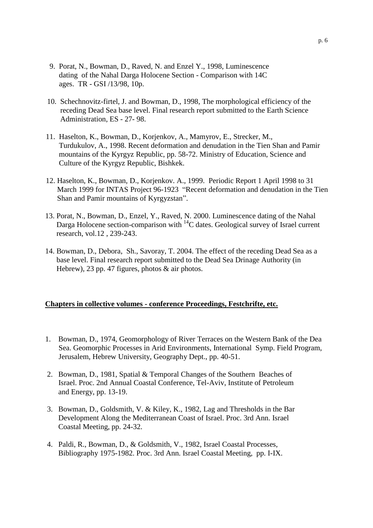- 9. Porat, N., Bowman, D., Raved, N. and Enzel Y., 1998, Luminescence dating of the Nahal Darga Holocene Section - Comparison with 14C ages. TR - GSI /13/98, 10p.
- 10. Schechnovitz-firtel, J. and Bowman, D., 1998, The morphological efficiency of the receding Dead Sea base level. Final research report submitted to the Earth Science Administration, ES - 27- 98.
- 11. Haselton, K., Bowman, D., Korjenkov, A., Mamyrov, E., Strecker, M., Turdukulov, A., 1998. Recent deformation and denudation in the Tien Shan and Pamir mountains of the Kyrgyz Republic, pp. 58-72. Ministry of Education, Science and Culture of the Kyrgyz Republic, Bishkek.
- 12. Haselton, K., Bowman, D., Korjenkov. A., 1999. Periodic Report 1 April 1998 to 31 March 1999 for INTAS Project 96-1923 "Recent deformation and denudation in the Tien Shan and Pamir mountains of Kyrgyzstan".
- 13. Porat, N., Bowman, D., Enzel, Y., Raved, N. 2000. Luminescence dating of the Nahal Darga Holocene section-comparison with <sup>14</sup>C dates. Geological survey of Israel current research, vol.12 , 239-243.
- 14. Bowman, D., Debora, Sh., Savoray, T. 2004. The effect of the receding Dead Sea as a base level. Final research report submitted to the Dead Sea Drinage Authority (in Hebrew), 23 pp. 47 figures, photos & air photos.

### **Chapters in collective volumes - conference Proceedings, Festchrifte, etc.**

- 1. Bowman, D., 1974, Geomorphology of River Terraces on the Western Bank of the Dea Sea. Geomorphic Processes in Arid Environments, International Symp. Field Program, Jerusalem, Hebrew University, Geography Dept., pp. 40-51.
- 2. Bowman, D., 1981, Spatial & Temporal Changes of the Southern Beaches of Israel. Proc. 2nd Annual Coastal Conference, Tel-Aviv, Institute of Petroleum and Energy, pp. 13-19.
- 3. Bowman, D., Goldsmith, V. & Kiley, K., 1982, Lag and Thresholds in the Bar Development Along the Mediterranean Coast of Israel. Proc. 3rd Ann. Israel Coastal Meeting, pp. 24-32.
- 4. Paldi, R., Bowman, D., & Goldsmith, V., 1982, Israel Coastal Processes, Bibliography 1975-1982. Proc. 3rd Ann. Israel Coastal Meeting, pp. I-IX.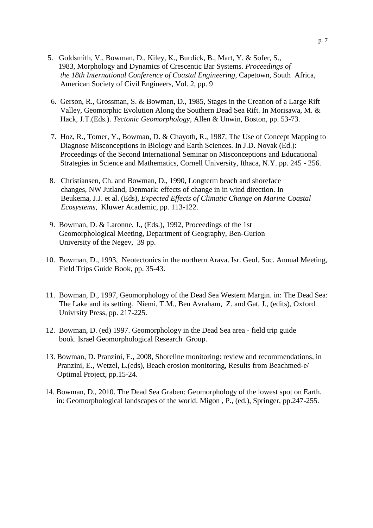- 5. Goldsmith, V., Bowman, D., Kiley, K., Burdick, B., Mart, Y. & Sofer, S., 1983, Morphology and Dynamics of Crescentic Bar Systems. *Proceedings of the 18th International Conference of Coastal Engineering,* Capetown, South Africa, American Society of Civil Engineers, Vol. 2, pp. 9
- 6. Gerson, R., Grossman, S. & Bowman, D., 1985, Stages in the Creation of a Large Rift Valley, Geomorphic Evolution Along the Southern Dead Sea Rift. In Morisawa, M. & Hack, J.T.(Eds.). *Tectonic Geomorphology,* Allen & Unwin, Boston, pp. 53-73.
- 7. Hoz, R., Tomer, Y., Bowman, D. & Chayoth, R., 1987, The Use of Concept Mapping to Diagnose Misconceptions in Biology and Earth Sciences. In J.D. Novak (Ed.): Proceedings of the Second International Seminar on Misconceptions and Educational Strategies in Science and Mathematics, Cornell University, Ithaca, N.Y. pp. 245 - 256.
- 8. Christiansen, Ch. and Bowman, D., 1990, Longterm beach and shoreface changes, NW Jutland, Denmark: effects of change in in wind direction. In Beukema, J.J. et al. (Eds), *Expected Effects of Climatic Change on Marine Coastal Ecosystems,* Kluwer Academic, pp. 113-122.
- 9. Bowman, D. & Laronne, J., (Eds.), 1992, Proceedings of the 1st Geomorphological Meeting, Department of Geography, Ben-Gurion University of the Negev, 39 pp.
- 10. Bowman, D., 1993, Neotectonics in the northern Arava. Isr. Geol. Soc. Annual Meeting, Field Trips Guide Book, pp. 35-43.
- 11. Bowman, D., 1997, Geomorphology of the Dead Sea Western Margin. in: The Dead Sea: The Lake and its setting. Niemi, T.M., Ben Avraham, Z. and Gat, J., (edits), Oxford Univrsity Press, pp. 217-225.
- 12. Bowman, D. (ed) 1997. Geomorphology in the Dead Sea area field trip guide book. Israel Geomorphological Research Group.
- 13. Bowman, D. Pranzini, E., 2008, Shoreline monitoring: review and recommendations, in Pranzini, E., Wetzel, L.(eds), Beach erosion monitoring, Results from Beachmed-e/ Optimal Project, pp.15-24.
- 14. Bowman, D., 2010. The Dead Sea Graben: Geomorphology of the lowest spot on Earth. in: Geomorphological landscapes of the world. Migon , P., (ed.), Springer, pp.247-255.